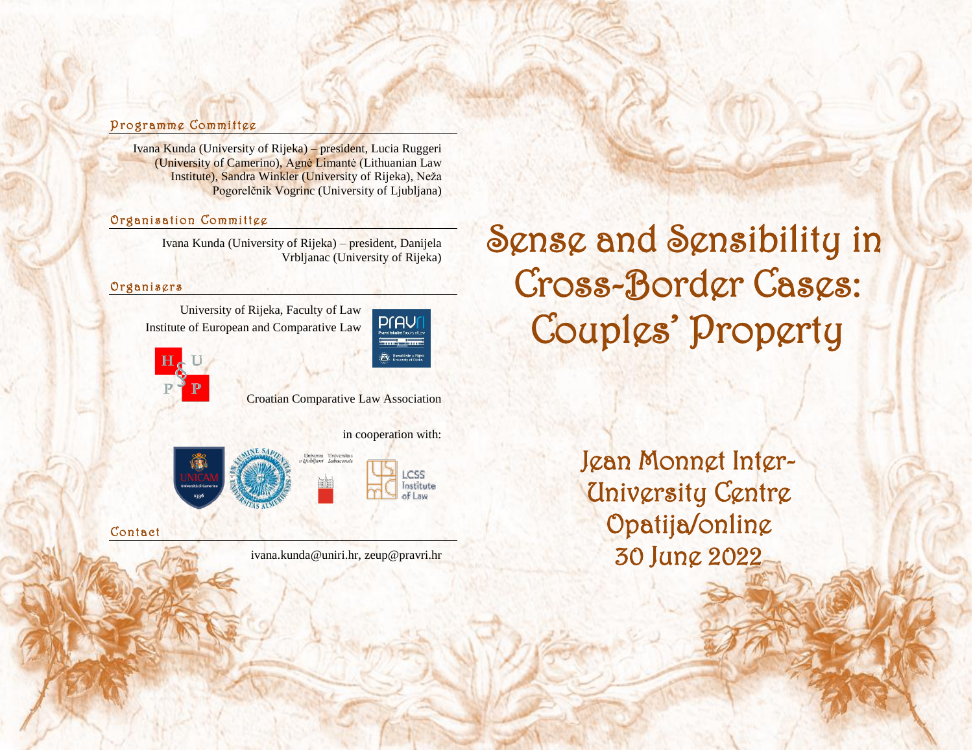# Programme Committee

Ivana Kunda (University of Rijeka) – president, Lucia Ruggeri (University of Camerino), Agnė Limantė (Lithuanian Law Institute), Sandra Winkler (University of Rijeka), Neža Pogorelčnik Vogrinc (University of Ljubljana)

# Organisation Committee

Ivana Kunda (University of Rijeka) – president, Danijela Vrbljanac (University of Rijeka)

### **Organisgrs**

University of Rijeka, Faculty of Law Institute of European and Comparative Law





Croatian Comparative Law Association

in cooperation with:

**ICSS** Institute of Law



Contact

ivana.kunda@uniri.hr, zeup@pravri.hr

Sense and Sensibility in Cross-Border Cases: Couples' Property

**Being** 

Jean Monnet Inter-University Centre Opatija/online 30 June 2022